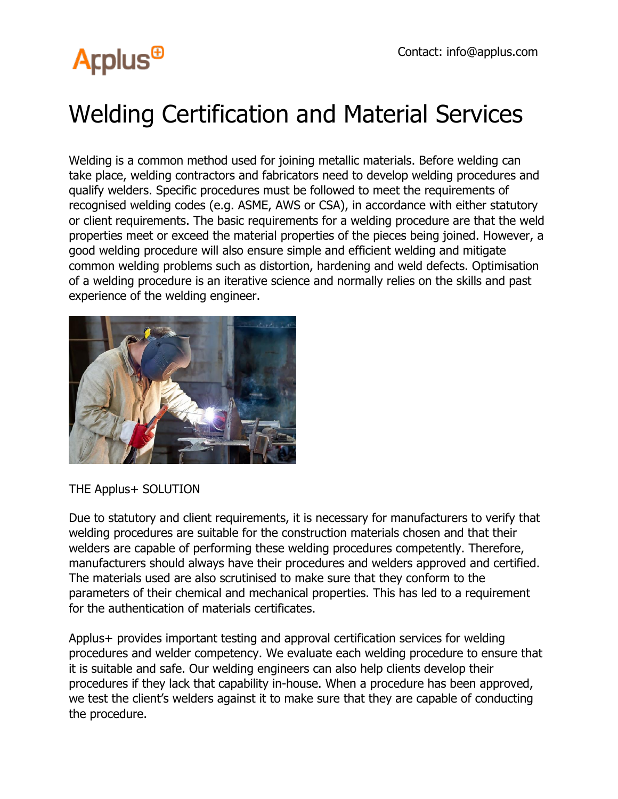## **Arplus<sup>®</sup>**

## Welding Certification and Material Services

Welding is a common method used for joining metallic materials. Before welding can take place, welding contractors and fabricators need to develop welding procedures and qualify welders. Specific procedures must be followed to meet the requirements of recognised welding codes (e.g. ASME, AWS or CSA), in accordance with either statutory or client requirements. The basic requirements for a welding procedure are that the weld properties meet or exceed the material properties of the pieces being joined. However, a good welding procedure will also ensure simple and efficient welding and mitigate common welding problems such as distortion, hardening and weld defects. Optimisation of a welding procedure is an iterative science and normally relies on the skills and past experience of the welding engineer.



THE Applus+ SOLUTION

Due to statutory and client requirements, it is necessary for manufacturers to verify that welding procedures are suitable for the construction materials chosen and that their welders are capable of performing these welding procedures competently. Therefore, manufacturers should always have their procedures and welders approved and certified. The materials used are also scrutinised to make sure that they conform to the parameters of their chemical and mechanical properties. This has led to a requirement for the authentication of materials certificates.

Applus+ provides important testing and approval certification services for welding procedures and welder competency. We evaluate each welding procedure to ensure that it is suitable and safe. Our welding engineers can also help clients develop their procedures if they lack that capability in-house. When a procedure has been approved, we test the client's welders against it to make sure that they are capable of conducting the procedure.